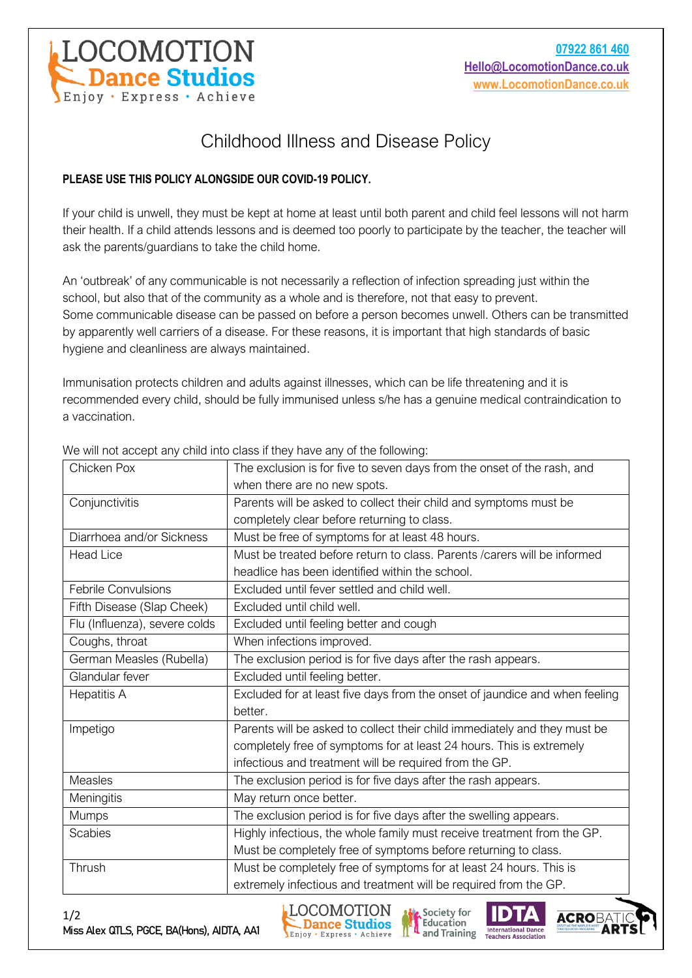

## Childhood Illness and Disease Policy

## **PLEASE USE THIS POLICY ALONGSIDE OUR COVID-19 POLICY.**

If your child is unwell, they must be kept at home at least until both parent and child feel lessons will not harm their health. If a child attends lessons and is deemed too poorly to participate by the teacher, the teacher will ask the parents/guardians to take the child home.

An 'outbreak' of any communicable is not necessarily a reflection of infection spreading just within the school, but also that of the community as a whole and is therefore, not that easy to prevent. Some communicable disease can be passed on before a person becomes unwell. Others can be transmitted by apparently well carriers of a disease. For these reasons, it is important that high standards of basic hygiene and cleanliness are always maintained.

Immunisation protects children and adults against illnesses, which can be life threatening and it is recommended every child, should be fully immunised unless s/he has a genuine medical contraindication to a vaccination.

| Chicken Pox                   | The exclusion is for five to seven days from the onset of the rash, and     |
|-------------------------------|-----------------------------------------------------------------------------|
|                               | when there are no new spots.                                                |
| Conjunctivitis                | Parents will be asked to collect their child and symptoms must be           |
|                               | completely clear before returning to class.                                 |
| Diarrhoea and/or Sickness     | Must be free of symptoms for at least 48 hours.                             |
| <b>Head Lice</b>              | Must be treated before return to class. Parents / carers will be informed   |
|                               | headlice has been identified within the school.                             |
| <b>Febrile Convulsions</b>    | Excluded until fever settled and child well.                                |
| Fifth Disease (Slap Cheek)    | Excluded until child well.                                                  |
| Flu (Influenza), severe colds | Excluded until feeling better and cough                                     |
| Coughs, throat                | When infections improved.                                                   |
| German Measles (Rubella)      | The exclusion period is for five days after the rash appears.               |
| Glandular fever               | Excluded until feeling better.                                              |
| <b>Hepatitis A</b>            | Excluded for at least five days from the onset of jaundice and when feeling |
|                               | better.                                                                     |
| Impetigo                      | Parents will be asked to collect their child immediately and they must be   |
|                               | completely free of symptoms for at least 24 hours. This is extremely        |
|                               | infectious and treatment will be required from the GP.                      |
| <b>Measles</b>                | The exclusion period is for five days after the rash appears.               |
| Meningitis                    | May return once better.                                                     |
| <b>Mumps</b>                  | The exclusion period is for five days after the swelling appears.           |
| <b>Scabies</b>                | Highly infectious, the whole family must receive treatment from the GP.     |
|                               | Must be completely free of symptoms before returning to class.              |
| Thrush                        | Must be completely free of symptoms for at least 24 hours. This is          |
|                               | extremely infectious and treatment will be required from the GP.            |

We will not accept any child into class if they have any of the following:





Society for

Education

and Training

**International Dance Teachers Association**  **ACRO**